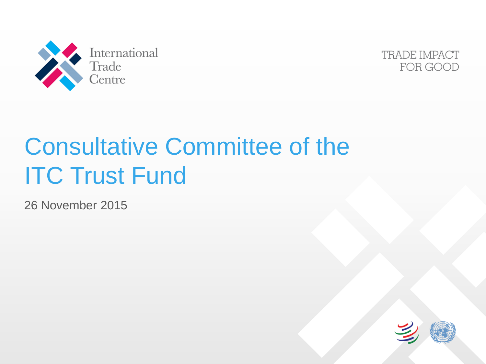



# Consultative Committee of the **ITC Trust Fund**

26 November 2015

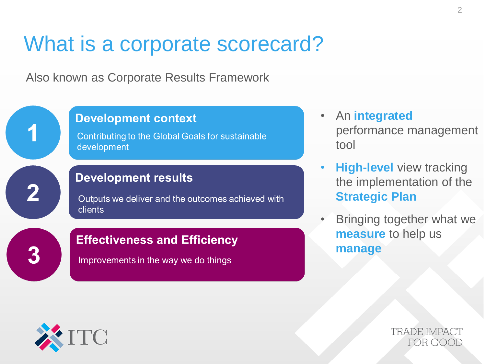#### What is a corporate scorecard?

Also known as Corporate Results Framework



- An **integrated** performance management tool
- **High-level** view tracking the implementation of the **Strategic Plan**
- Bringing together what we **measure** to help us **manage**



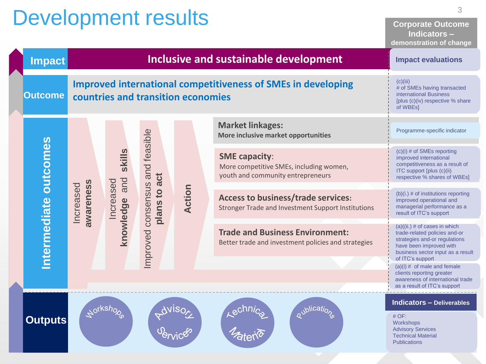## Development results

**Corporate Outcome Indicators – demonstration of change**

| <b>Impact</b>         |                        | renionoù anon-or-onange<br><b>Impact evaluations</b> |                       |                                                                     |                                                                                                                   |                                                                                                                                                                                       |
|-----------------------|------------------------|------------------------------------------------------|-----------------------|---------------------------------------------------------------------|-------------------------------------------------------------------------------------------------------------------|---------------------------------------------------------------------------------------------------------------------------------------------------------------------------------------|
| <b>Outcome</b>        |                        | countries and transition economies                   |                       | <b>Improved international competitiveness of SMEs in developing</b> | (c)(iii)<br># of SMEs having transacted<br>international Business<br>[plus (c)(iv) respective % share<br>of WBEs] |                                                                                                                                                                                       |
| Intermediate outcomes |                        |                                                      |                       |                                                                     | <b>Market linkages:</b><br>More inclusive market opportunities                                                    | Programme-specific indicator                                                                                                                                                          |
|                       |                        | skills                                               | and feasible<br>act   | Action                                                              | <b>SME capacity:</b><br>More competitive SMEs, including women,<br>youth and community entrepreneurs              | $(c)(i)$ # of SMEs reporting<br>improved international<br>competitiveness as a result of<br>ITC support [plus (c)(ii)<br>respective % shares of WBEs]                                 |
|                       | awareness<br>Increased | knowledge and<br>Increased                           | consensus<br>plans to |                                                                     | <b>Access to business/trade services:</b><br>Stronger Trade and Investment Support Institutions                   | $(b)(i.)$ # of institutions reporting<br>improved operational and<br>managerial performance as a<br>result of ITC's support                                                           |
|                       |                        |                                                      | mproved               |                                                                     | <b>Trade and Business Environment:</b><br>Better trade and investment policies and strategies                     | $(a)((ii.)$ # of cases in which<br>trade-related policies and-or<br>strategies and-or regulations<br>have been improved with<br>business sector input as a result<br>of ITC's support |
|                       |                        |                                                      |                       |                                                                     |                                                                                                                   | $(a)(i)$ # of male and female<br>clients reporting greater<br>awareness of international trade<br>as a result of ITC's support                                                        |
| <b>Outputs</b>        |                        |                                                      |                       |                                                                     |                                                                                                                   | <b>Indicators - Deliverables</b><br>$#$ OF:<br>Workshops<br><b>Advisory Services</b><br><b>Technical Material</b><br><b>Publications</b>                                              |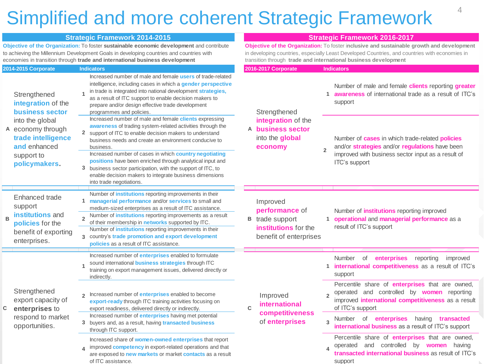#### Simplified and more coherent Strategic Framework

|                |                                                                                                           |                                | <b>Strategic Framework 2014-2015</b>                                                                                                                                                                                                                                                                                                                                                                                                                                                                                                 | <b>Strategic Framework 2016-2017</b>                                                                                                                                                                                                                           |                                                                                       |                |                                                                                                                                                                                        |
|----------------|-----------------------------------------------------------------------------------------------------------|--------------------------------|--------------------------------------------------------------------------------------------------------------------------------------------------------------------------------------------------------------------------------------------------------------------------------------------------------------------------------------------------------------------------------------------------------------------------------------------------------------------------------------------------------------------------------------|----------------------------------------------------------------------------------------------------------------------------------------------------------------------------------------------------------------------------------------------------------------|---------------------------------------------------------------------------------------|----------------|----------------------------------------------------------------------------------------------------------------------------------------------------------------------------------------|
|                |                                                                                                           |                                | Objective of the Organization: To foster sustainable economic development and contribute<br>to achieving the Millennium Development Goals in developing countries and countries with<br>economies in transition through trade and international business development                                                                                                                                                                                                                                                                 | Objective of the Organization: To foster inclusive and sustainable growth and development<br>in developing countries, especially Least Developed Countries, and countries with economies in<br>transition through trade and international business development |                                                                                       |                |                                                                                                                                                                                        |
|                | 2014-2015 Corporate                                                                                       |                                | <b>Indicators</b>                                                                                                                                                                                                                                                                                                                                                                                                                                                                                                                    |                                                                                                                                                                                                                                                                | 2016-2017 Corporate                                                                   |                | <b>Indicators</b>                                                                                                                                                                      |
|                | Strengthened<br>integration of the<br><b>business sector</b>                                              |                                | Increased number of male and female users of trade-related<br>intelligence, including cases in which a gender perspective<br>in trade is integrated into national development strategies,<br>as a result of ITC support to enable decision makers to<br>prepare and/or design effective trade development<br>programmes and policies.                                                                                                                                                                                                |                                                                                                                                                                                                                                                                | Strengthened<br>integration of the<br>A business sector<br>into the global<br>economy |                | Number of male and female clients reporting greater<br>1 <b>awareness</b> of international trade as a result of ITC's<br>support                                                       |
|                | into the global<br>A economy through<br>trade intelligence<br>and enhanced<br>support to<br>policymakers. |                                | Increased number of male and female clients expressing<br>awareness of trading system-related activities through the<br>2 support of ITC to enable decision makers to understand<br>business needs and create an environment conducive to<br>business.<br>Increased number of cases in which country negotiating<br>positions have been enriched through analytical input and<br>3 business sector participation, with the support of ITC, to<br>enable decision makers to integrate business dimensions<br>into trade negotiations. |                                                                                                                                                                                                                                                                |                                                                                       | $\overline{2}$ | Number of <b>cases</b> in which trade-related <b>policies</b><br>and/or strategies and/or regulations have been<br>improved with business sector input as a result of<br>ITC's support |
|                |                                                                                                           |                                |                                                                                                                                                                                                                                                                                                                                                                                                                                                                                                                                      |                                                                                                                                                                                                                                                                |                                                                                       |                |                                                                                                                                                                                        |
| $\overline{B}$ | Enhanced trade<br>support<br>institutions and<br>policies for the<br>benefit of exporting<br>enterprises. | $\mathbf{1}$<br>$\overline{2}$ | Number of <i>institutions</i> reporting improvements in their<br>managerial performance and/or services to small and<br>medium-sized enterprises as a result of ITC assistance.<br>Number of <i>institutions</i> reporting improvements as a result<br>of their membership in networks supported by ITC.<br>Number of <i>institutions</i> reporting improvements in their<br>3 country's trade promotion and export development<br>policies as a result of ITC assistance.                                                           |                                                                                                                                                                                                                                                                | Improved<br>performance of<br><b>B</b> trade support                                  |                | Number of <i>institutions</i> reporting improved<br>1 operational and managerial performance as a                                                                                      |
|                |                                                                                                           |                                |                                                                                                                                                                                                                                                                                                                                                                                                                                                                                                                                      |                                                                                                                                                                                                                                                                | institutions for the<br>benefit of enterprises                                        |                | result of ITC's support                                                                                                                                                                |
| C              |                                                                                                           | $\overline{1}$                 | Increased number of <b>enterprises</b> enabled to formulate<br>sound international <b>business strategies</b> through ITC<br>training on export management issues, delivered directly or<br>indirectly.                                                                                                                                                                                                                                                                                                                              |                                                                                                                                                                                                                                                                |                                                                                       |                | enterprises<br>Number<br>of<br>reporting<br>improved<br>1 international competitiveness as a result of ITC's<br>support                                                                |
|                | Strengthened<br>export capacity of<br>enterprises to<br>respond to market<br>opportunities.               | $\mathfrak{p}$                 | Increased number of <i>enterprises</i> enabled to become<br>export-ready through ITC training activities focusing on<br>export readiness, delivered directly or indirectly.                                                                                                                                                                                                                                                                                                                                                          | $\mathbf C$                                                                                                                                                                                                                                                    | Improved<br>international<br>competitiveness<br>of enterprises                        |                | Percentile share of enterprises that are owned,<br>operated and controlled by <b>women</b> reporting<br>improved <i>international</i> competitiveness as a result<br>of ITC's support  |
|                |                                                                                                           | 3                              | Increased number of <i>enterprises</i> having met potential<br>buyers and, as a result, having transacted business<br>through ITC support.                                                                                                                                                                                                                                                                                                                                                                                           |                                                                                                                                                                                                                                                                |                                                                                       | $\overline{3}$ | Number of enterprises having transacted<br>international business as a result of ITC's support                                                                                         |
|                |                                                                                                           |                                | Increased share of women-owned enterprises that report<br>improved <b>competency</b> in export-related operations and that<br>are exposed to new markets or market contacts as a result<br>of ITC assistance.                                                                                                                                                                                                                                                                                                                        |                                                                                                                                                                                                                                                                |                                                                                       |                | Percentile share of enterprises that are owned,<br>operated and controlled by <b>women</b> having<br>transacted international business as result of ITC's<br>support                   |